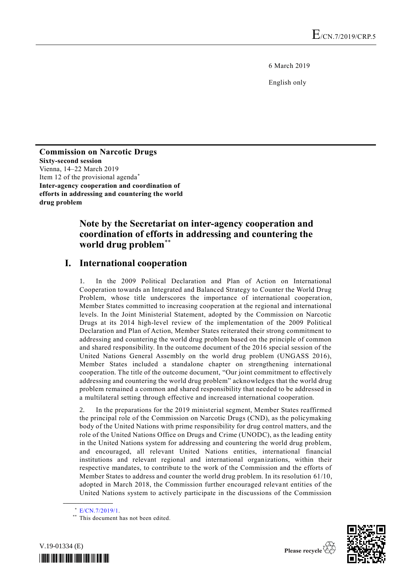6 March 2019

English only

### **Commission on Narcotic Drugs Sixty-second session** Vienna, 14–22 March 2019 Item 12 of the provisional agenda\* **Inter-agency cooperation and coordination of efforts in addressing and countering the world drug problem**

# **Note by the Secretariat on inter-agency cooperation and coordination of efforts in addressing and countering the world drug problem**\*\*

# **I. International cooperation**

1. In the 2009 Political Declaration and Plan of Action on International Cooperation towards an Integrated and Balanced Strategy to Counter the World Drug Problem, whose title underscores the importance of international cooperation, Member States committed to increasing cooperation at the regional and international levels. In the Joint Ministerial Statement, adopted by the Commission on Narcotic Drugs at its 2014 high-level review of the implementation of the 2009 Political Declaration and Plan of Action, Member States reiterated their strong commitment to addressing and countering the world drug problem based on the principle of common and shared responsibility. In the outcome document of the 2016 special session of the United Nations General Assembly on the world drug problem (UNGASS 2016), Member States included a standalone chapter on strengthening international cooperation. The title of the outcome document, "Our joint commitment to effectively addressing and countering the world drug problem" acknowledges that the world drug problem remained a common and shared responsibility that needed to be addressed in a multilateral setting through effective and increased international cooperation.

2. In the preparations for the 2019 ministerial segment, Member States reaffirmed the principal role of the Commission on Narcotic Drugs (CND), as the policymaking body of the United Nations with prime responsibility for drug control matters, and the role of the United Nations Office on Drugs and Crime (UNODC), as the leading entity in the United Nations system for addressing and countering the world drug problem, and encouraged, all relevant United Nations entities, international financial institutions and relevant regional and international organizations, within their respective mandates, to contribute to the work of the Commission and the efforts of Member States to address and counter the world drug problem. In its resolution 61/10, adopted in March 2018, the Commission further encouraged relevant entities of the United Nations system to actively participate in the discussions of the Commission

**\_\_\_\_\_\_\_\_\_\_\_\_\_\_\_\_\_\_**

<sup>\*\*</sup> This document has not been edited.





<sup>\*</sup> [E/CN.7/2019/1.](http://undocs.org/E/CN.7/2019/1)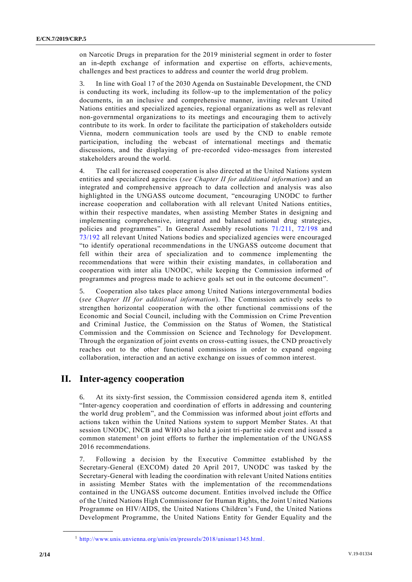on Narcotic Drugs in preparation for the 2019 ministerial segment in order to foster an in-depth exchange of information and expertise on efforts, achievements, challenges and best practices to address and counter the world drug problem.

3. In line with Goal 17 of the 2030 Agenda on Sustainable Development, the CND is conducting its work, including its follow-up to the implementation of the policy documents, in an inclusive and comprehensive manner, inviting relevant United Nations entities and specialized agencies, regional organizations as well as relevant non-governmental organizations to its meetings and encouraging them to actively contribute to its work. In order to facilitate the participation of stakeholders outside Vienna, modern communication tools are used by the CND to enable remote participation, including the webcast of international meetings and thematic discussions, and the displaying of pre-recorded video-messages from interested stakeholders around the world.

The call for increased cooperation is also directed at the United Nations system entities and specialized agencies (*see Chapter II for additional information*) and an integrated and comprehensive approach to data collection and analysis was also highlighted in the UNGASS outcome document, "encouraging UNODC to further increase cooperation and collaboration with all relevant United Nations entities, within their respective mandates, when assisting Member States in designing and implementing comprehensive, integrated and balanced national drug strategies, policies and programmes". In General Assembly resolutions [71/211,](http://undocs.org/A/RES/71/211) [72/198](http://undocs.org/A/RES/72/198) and [73/192](http://undocs.org/A/RES/73/192) all relevant United Nations bodies and specialized agencies were encouraged "to identify operational recommendations in the UNGASS outcome document that fell within their area of specialization and to commence implementing the recommendations that were within their existing mandates, in collaboration and cooperation with inter alia UNODC, while keeping the Commission informed of programmes and progress made to achieve goals set out in the outcome document".

5. Cooperation also takes place among United Nations intergovernmental bodies (*see Chapter III for additional information*). The Commission actively seeks to strengthen horizontal cooperation with the other functional commissions of the Economic and Social Council, including with the Commission on Crime Prevention and Criminal Justice, the Commission on the Status of Women, the Statistical Commission and the Commission on Science and Technology for Development. Through the organization of joint events on cross-cutting issues, the CND proactively reaches out to the other functional commissions in order to expand ongoing collaboration, interaction and an active exchange on issues of common interest.

## **II. Inter-agency cooperation**

6. At its sixty-first session, the Commission considered agenda item 8, entitled "Inter-agency cooperation and coordination of efforts in addressing and countering the world drug problem", and the Commission was informed about joint efforts and actions taken within the United Nations system to support Member States. At that session UNODC, INCB and WHO also held a joint tri-partite side event and issued a common statement<sup>1</sup> on joint efforts to further the implementation of the UNGASS 2016 recommendations.

7. Following a decision by the Executive Committee established by the Secretary-General (EXCOM) dated 20 April 2017, UNODC was tasked by the Secretary-General with leading the coordination with relevant United Nations entities in assisting Member States with the implementation of the recommendations contained in the UNGASS outcome document. Entities involved include the Office of the United Nations High Commissioner for Human Rights, the Joint United Nations Programme on HIV/AIDS, the United Nations Children's Fund, the United Nations Development Programme, the United Nations Entity for Gender Equality and the

**\_\_\_\_\_\_\_\_\_\_\_\_\_\_\_\_\_\_**

<sup>1</sup> [http://www.unis.unvienna.org/unis/en/pressrels/2018/unisnar1345.html.](http://www.unis.unvienna.org/unis/en/pressrels/2018/unisnar1345.html)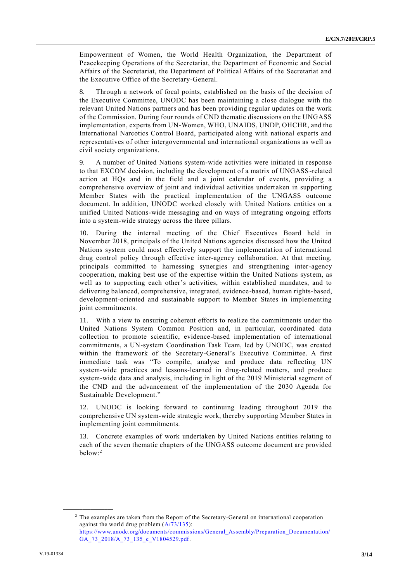Empowerment of Women, the World Health Organization, the Department of Peacekeeping Operations of the Secretariat, the Department of Economic and Social Affairs of the Secretariat, the Department of Political Affairs of the Secretariat and the Executive Office of the Secretary-General.

8. Through a network of focal points, established on the basis of the decision of the Executive Committee, UNODC has been maintaining a close dialogue with the relevant United Nations partners and has been providing regular updates on the work of the Commission. During four rounds of CND thematic discussions on the UNGASS implementation, experts from UN-Women, WHO, UNAIDS, UNDP, OHCHR, and the International Narcotics Control Board, participated along with national experts and representatives of other intergovernmental and international organizations as well as civil society organizations.

9. A number of United Nations system-wide activities were initiated in response to that EXCOM decision, including the development of a matrix of UNGASS-related action at HQs and in the field and a joint calendar of events, providing a comprehensive overview of joint and individual activities undert aken in supporting Member States with the practical implementation of the UNGASS outcome document. In addition, UNODC worked closely with United Nations entities on a unified United Nations-wide messaging and on ways of integrating ongoing efforts into a system-wide strategy across the three pillars.

10. During the internal meeting of the Chief Executives Board held in November 2018, principals of the United Nations agencies discussed how the United Nations system could most effectively support the implementation of international drug control policy through effective inter-agency collaboration. At that meeting, principals committed to harnessing synergies and strengthening inter-agency cooperation, making best use of the expertise within the United Nations system, as well as to supporting each other's activities, within established mandates, and to delivering balanced, comprehensive, integrated, evidence-based, human rights-based, development-oriented and sustainable support to Member States in implementing joint commitments.

11. With a view to ensuring coherent efforts to realize the commitments under the United Nations System Common Position and, in particular, coordinated data collection to promote scientific, evidence-based implementation of international commitments, a UN-system Coordination Task Team, led by UNODC, was created within the framework of the Secretary-General's Executive Committee. A first immediate task was "To compile, analyse and produce data reflecting UN system-wide practices and lessons-learned in drug-related matters, and produce system-wide data and analysis, including in light of the 2019 Ministerial segment of the CND and the advancement of the implementation of the 2030 Agenda for Sustainable Development."

12. UNODC is looking forward to continuing leading throughout 2019 the comprehensive UN system-wide strategic work, thereby supporting Member States in implementing joint commitments.

13. Concrete examples of work undertaken by United Nations entities relating to each of the seven thematic chapters of the UNGASS outcome document are provided below: 2

**\_\_\_\_\_\_\_\_\_\_\_\_\_\_\_\_\_\_**

<sup>2</sup> The examples are taken from the Report of the Secretary-General on international cooperation against the world drug problem [\(A/73/135\)](http://undocs.org/A/73/135): [https://www.unodc.org/documents/commissions/General\\_Assembly/Preparation\\_Documentation/](https://www.unodc.org/documents/commissions/General_Assembly/Preparation_Documentation/GA_73_2018/A_73_135_e_V1804529.pdf) GA 73 2018/A 73 135 e V1804529.pdf.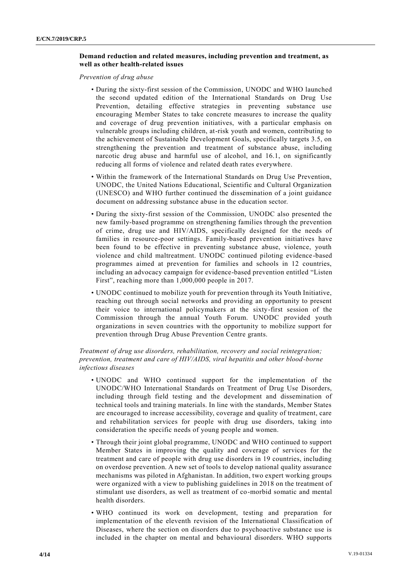### **Demand reduction and related measures, including prevention and treatment, as well as other health-related issues**

*Prevention of drug abuse* 

- During the sixty-first session of the Commission, UNODC and WHO launched the second updated edition of the International Standards on Drug Use Prevention, detailing effective strategies in preventing substance use encouraging Member States to take concrete measures to increase the quality and coverage of drug prevention initiatives, with a particular emphasis on vulnerable groups including children, at-risk youth and women, contributing to the achievement of Sustainable Development Goals, specifically targets 3.5, on strengthening the prevention and treatment of substance abuse, including narcotic drug abuse and harmful use of alcohol, and 16.1, on significantly reducing all forms of violence and related death rates everywhere.
- Within the framework of the International Standards on Drug Use Prevention, UNODC, the United Nations Educational, Scientific and Cultural Organization (UNESCO) and WHO further continued the dissemination of a joint guidance document on addressing substance abuse in the education sector.
- During the sixty-first session of the Commission, UNODC also presented the new family-based programme on strengthening families through the prevention of crime, drug use and HIV/AIDS, specifically designed for the needs of families in resource-poor settings. Family-based prevention initiatives have been found to be effective in preventing substance abuse, violence, youth violence and child maltreatment. UNODC continued piloting evidence -based programmes aimed at prevention for families and schools in 12 countries, including an advocacy campaign for evidence-based prevention entitled "Listen First", reaching more than 1,000,000 people in 2017.
- UNODC continued to mobilize youth for prevention through its Youth Initiative, reaching out through social networks and providing an opportunity to present their voice to international policymakers at the sixty-first session of the Commission through the annual Youth Forum. UNODC provided youth organizations in seven countries with the opportunity to mobilize support for prevention through Drug Abuse Prevention Centre grants.

### *Treatment of drug use disorders, rehabilitation, recovery and social reintegration; prevention, treatment and care of HIV/AIDS, viral hepatitis and other blood-borne infectious diseases*

- UNODC and WHO continued support for the implementation of the UNODC/WHO International Standards on Treatment of Drug Use Disorders, including through field testing and the development and dissemination of technical tools and training materials. In line with the standards, Member States are encouraged to increase accessibility, coverage and quality of treatment, care and rehabilitation services for people with drug use disorders, taking into consideration the specific needs of young people and women.
- Through their joint global programme, UNODC and WHO continued to support Member States in improving the quality and coverage of services for the treatment and care of people with drug use disorders in 19 countries, including on overdose prevention. A new set of tools to develop national quality assurance mechanisms was piloted in Afghanistan. In addition, two expert working groups were organized with a view to publishing guidelines in 2018 on the treatment of stimulant use disorders, as well as treatment of co-morbid somatic and mental health disorders.
- WHO continued its work on development, testing and preparation for implementation of the eleventh revision of the International Classification of Diseases, where the section on disorders due to psychoactive substance use is included in the chapter on mental and behavioural disorders. WHO supports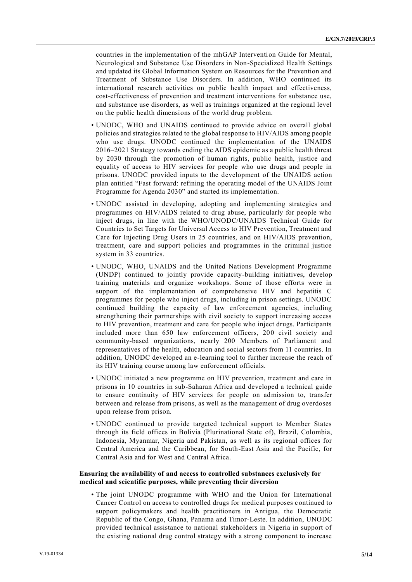countries in the implementation of the mhGAP Intervention Guide for Mental, Neurological and Substance Use Disorders in Non-Specialized Health Settings and updated its Global Information System on Resources for the Prevention and Treatment of Substance Use Disorders. In addition, WHO continued its international research activities on public health impact and effectiveness, cost-effectiveness of prevention and treatment interventions for substance use, and substance use disorders, as well as trainings organized at the regional level on the public health dimensions of the world drug problem.

- UNODC, WHO and UNAIDS continued to provide advice on overall global policies and strategies related to the global response to HIV/AIDS among people who use drugs. UNODC continued the implementation of the UNAIDS 2016–2021 Strategy towards ending the AIDS epidemic as a public health threat by 2030 through the promotion of human rights, public health, justice and equality of access to HIV services for people who use drugs and people in prisons. UNODC provided inputs to the development of the UNAIDS action plan entitled "Fast forward: refining the operating model of the UNAIDS Joint Programme for Agenda 2030" and started its implementation.
- UNODC assisted in developing, adopting and implementing strategies and programmes on HIV/AIDS related to drug abuse, particularly for people who inject drugs, in line with the WHO/UNODC/UNAIDS Technical Guide for Countries to Set Targets for Universal Access to HIV Prevention, Treatment and Care for Injecting Drug Users in 25 countries, and on HIV/AIDS prevention, treatment, care and support policies and programmes in the criminal justice system in 33 countries.
- UNODC, WHO, UNAIDS and the United Nations Development Programme (UNDP) continued to jointly provide capacity-building initiatives, develop training materials and organize workshops. Some of those efforts were in support of the implementation of comprehensive HIV and hepatitis C programmes for people who inject drugs, including in prison settings. UNODC continued building the capacity of law enforcement agencies, including strengthening their partnerships with civil society to support increasing access to HIV prevention, treatment and care for people who inject drugs. Participants included more than 650 law enforcement officers, 200 civil society and community-based organizations, nearly 200 Members of Parliament and representatives of the health, education and social sectors from 11 countries. In addition, UNODC developed an e-learning tool to further increase the reach of its HIV training course among law enforcement officials.
- UNODC initiated a new programme on HIV prevention, treatment and care in prisons in 10 countries in sub-Saharan Africa and developed a technical guide to ensure continuity of HIV services for people on admission to, transfer between and release from prisons, as well as the management of drug overdoses upon release from prison.
- UNODC continued to provide targeted technical support to Member States through its field offices in Bolivia (Plurinational State of), Brazil, Colombia, Indonesia, Myanmar, Nigeria and Pakistan, as well as its regional offices for Central America and the Caribbean, for South-East Asia and the Pacific, for Central Asia and for West and Central Africa.

#### **Ensuring the availability of and access to controlled substances exclusively for medical and scientific purposes, while preventing their diversion**

• The joint UNODC programme with WHO and the Union for International Cancer Control on access to controlled drugs for medical purposes continued to support policymakers and health practitioners in Antigua, the Democratic Republic of the Congo, Ghana, Panama and Timor-Leste. In addition, UNODC provided technical assistance to national stakeholders in Nigeria in support of the existing national drug control strategy with a strong component to increase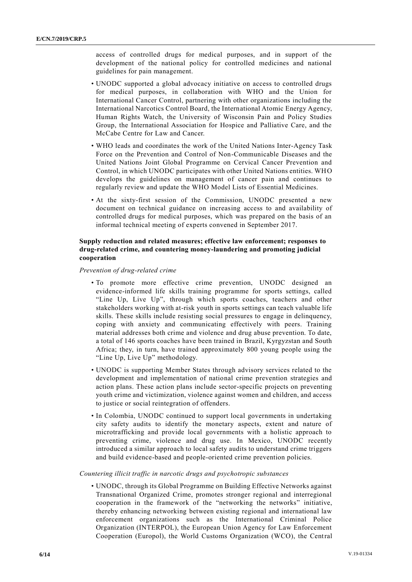access of controlled drugs for medical purposes, and in support of the development of the national policy for controlled medicines and national guidelines for pain management.

- UNODC supported a global advocacy initiative on access to controlled drugs for medical purposes, in collaboration with WHO and the Union for International Cancer Control, partnering with other organizations including the International Narcotics Control Board, the International Atomic Energy Agency, Human Rights Watch, the University of Wisconsin Pain and Policy Studies Group, the International Association for Hospice and Palliative Care, and the McCabe Centre for Law and Cancer.
- WHO leads and coordinates the work of the United Nations Inter-Agency Task Force on the Prevention and Control of Non-Communicable Diseases and the United Nations Joint Global Programme on Cervical Cancer Prevention and Control, in which UNODC participates with other United Nations entities. WHO develops the guidelines on management of cancer pain and continues to regularly review and update the WHO Model Lists of Essential Medicines.
- At the sixty-first session of the Commission, UNODC presented a new document on technical guidance on increasing access to and availability of controlled drugs for medical purposes, which was prepared on the basis of an informal technical meeting of experts convened in September 2017.

### **Supply reduction and related measures; effective law enforcement; responses to drug-related crime, and countering money-laundering and promoting judicial cooperation**

*Prevention of drug-related crime*

- To promote more effective crime prevention, UNODC designed an evidence-informed life skills training programme for sports settings, called "Line Up, Live Up", through which sports coaches, teachers and other stakeholders working with at-risk youth in sports settings can teach valuable life skills. These skills include resisting social pressures to engage in delinquency, coping with anxiety and communicating effectively with peers. Training material addresses both crime and violence and drug abuse prevention. To date, a total of 146 sports coaches have been trained in Brazil, Kyrgyzstan and South Africa; they, in turn, have trained approximately 800 young people using the "Line Up, Live Up" methodology.
- UNODC is supporting Member States through advisory services related to the development and implementation of national crime prevention strategies and action plans. These action plans include sector-specific projects on preventing youth crime and victimization, violence against women and children, and access to justice or social reintegration of offenders.
- In Colombia, UNODC continued to support local governments in undertaking city safety audits to identify the monetary aspects, extent and nature of microtrafficking and provide local governments with a holistic approach to preventing crime, violence and drug use. In Mexico, UNODC recently introduced a similar approach to local safety audits to understand crime triggers and build evidence-based and people-oriented crime prevention policies.

### *Countering illicit traffic in narcotic drugs and psychotropic substances*

• UNODC, through its Global Programme on Building Effective Networks against Transnational Organized Crime, promotes stronger regional and interregional cooperation in the framework of the "networking the networks" initiative, thereby enhancing networking between existing regional and international law enforcement organizations such as the International Criminal Police Organization (INTERPOL), the European Union Agency for Law Enforcement Cooperation (Europol), the World Customs Organization (WCO), the Central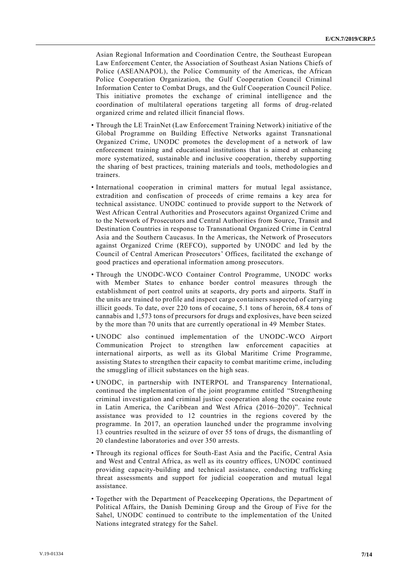Asian Regional Information and Coordination Centre, the Southeast European Law Enforcement Center, the Association of Southeast Asian Nations Chiefs of Police (ASEANAPOL), the Police Community of the Americas, the African Police Cooperation Organization, the Gulf Cooperation Council Criminal Information Center to Combat Drugs, and the Gulf Cooperation Council Police. This initiative promotes the exchange of criminal intelligence and the coordination of multilateral operations targeting all forms of drug-related organized crime and related illicit financial flows.

- Through the LE TrainNet (Law Enforcement Training Network) initiative of the Global Programme on Building Effective Networks against Transnational Organized Crime, UNODC promotes the development of a network of law enforcement training and educational institutions that is aimed at enhancing more systematized, sustainable and inclusive cooperation, thereby supporting the sharing of best practices, training materials and tools, methodologies and trainers.
- International cooperation in criminal matters for mutual legal assistance, extradition and confiscation of proceeds of crime remains a key area for technical assistance. UNODC continued to provide support to the Network of West African Central Authorities and Prosecutors against Organized Crime and to the Network of Prosecutors and Central Authorities from Source, Transit and Destination Countries in response to Transnational Organized Crime in Central Asia and the Southern Caucasus. In the Americas, the Network of Prosecutors against Organized Crime (REFCO), supported by UNODC and led by the Council of Central American Prosecutors' Offices, facilitated the exchange of good practices and operational information among prosecutors.
- Through the UNODC-WCO Container Control Programme, UNODC works with Member States to enhance border control measures through the establishment of port control units at seaports, dry ports and airports. Staff in the units are trained to profile and inspect cargo containers suspected of carrying illicit goods. To date, over 220 tons of cocaine, 5.1 tons of heroin, 68.4 tons of cannabis and 1,573 tons of precursors for drugs and explosives, have been seized by the more than 70 units that are currently operational in 49 Member States.
- UNODC also continued implementation of the UNODC-WCO Airport Communication Project to strengthen law enforcement capacities at international airports, as well as its Global Maritime Crime Programme, assisting States to strengthen their capacity to combat maritime crime, including the smuggling of illicit substances on the high seas.
- UNODC, in partnership with INTERPOL and Transparency International, continued the implementation of the joint programme entitled "Strengthening criminal investigation and criminal justice cooperation along the cocaine route in Latin America, the Caribbean and West Africa (2016–2020)". Technical assistance was provided to 12 countries in the regions covered by the programme. In 2017, an operation launched under the programme involving 13 countries resulted in the seizure of over 55 tons of drugs, the dismantling of 20 clandestine laboratories and over 350 arrests.
- Through its regional offices for South-East Asia and the Pacific, Central Asia and West and Central Africa, as well as its country offices, UNODC continued providing capacity-building and technical assistance, conducting trafficking threat assessments and support for judicial cooperation and mutual legal assistance.
- Together with the Department of Peacekeeping Operations, the Department of Political Affairs, the Danish Demining Group and the Group of Five for the Sahel, UNODC continued to contribute to the implementation of the United Nations integrated strategy for the Sahel.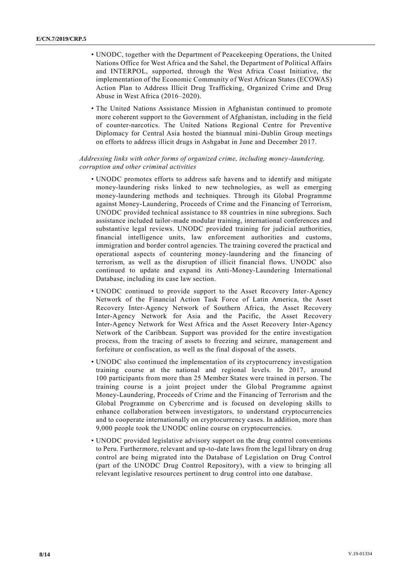- UNODC, together with the Department of Peacekeeping Operations, the United Nations Office for West Africa and the Sahel, the Department of Political Affairs and INTERPOL, supported, through the West Africa Coast Initiative, the implementation of the Economic Community of West African States (ECOWAS) Action Plan to Address Illicit Drug Trafficking, Organized Crime and Drug Abuse in West Africa (2016–2020).
- The United Nations Assistance Mission in Afghanistan continued to promote more coherent support to the Government of Afghanistan, including in the field of counter-narcotics. The United Nations Regional Centre for Preventive Diplomacy for Central Asia hosted the biannual mini-Dublin Group meetings on efforts to address illicit drugs in Ashgabat in June and December 2017.

#### *Addressing links with other forms of organized crime, including money-laundering, corruption and other criminal activities*

- UNODC promotes efforts to address safe havens and to identify and mitigate money-laundering risks linked to new technologies, as well as emerging money-laundering methods and techniques. Through its Global Programme against Money-Laundering, Proceeds of Crime and the Financing of Terrorism, UNODC provided technical assistance to 88 countries in nine subregions. Such assistance included tailor-made modular training, international conferences and substantive legal reviews. UNODC provided training for judicial authorities, financial intelligence units, law enforcement authorities and customs, immigration and border control agencies. The training covered the practical and operational aspects of countering money-laundering and the financing of terrorism, as well as the disruption of illicit financial flows. UNODC also continued to update and expand its Anti-Money-Laundering International Database, including its case law section.
- UNODC continued to provide support to the Asset Recovery Inter-Agency Network of the Financial Action Task Force of Latin America, the Asset Recovery Inter-Agency Network of Southern Africa, the Asset Recovery Inter-Agency Network for Asia and the Pacific, the Asset Recovery Inter-Agency Network for West Africa and the Asset Recovery Inter-Agency Network of the Caribbean. Support was provided for the entire investigation process, from the tracing of assets to freezing and seizure, management and forfeiture or confiscation, as well as the final disposal of the assets.
- UNODC also continued the implementation of its cryptocurrency investigation training course at the national and regional levels. In 2017, around 100 participants from more than 25 Member States were trained in person. The training course is a joint project under the Global Programme against Money-Laundering, Proceeds of Crime and the Financing of Terrorism and the Global Programme on Cybercrime and is focused on developing skills to enhance collaboration between investigators, to understand cryptocurrencies and to cooperate internationally on cryptocurrency cases. In addition, more than 9,000 people took the UNODC online course on cryptocurrencies.
- UNODC provided legislative advisory support on the drug control conventions to Peru. Furthermore, relevant and up-to-date laws from the legal library on drug control are being migrated into the Database of Legislation on Drug Control (part of the UNODC Drug Control Repository), with a view to bringing all relevant legislative resources pertinent to drug control into one database.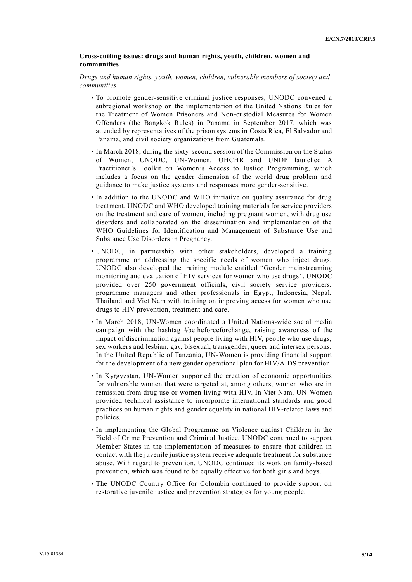#### **Cross-cutting issues: drugs and human rights, youth, children, women and communities**

*Drugs and human rights, youth, women, children, vulnerable members of society and communities*

- To promote gender-sensitive criminal justice responses, UNODC convened a subregional workshop on the implementation of the United Nations Rules for the Treatment of Women Prisoners and Non-custodial Measures for Women Offenders (the Bangkok Rules) in Panama in September 2017, which was attended by representatives of the prison systems in Costa Rica, El Salvador and Panama, and civil society organizations from Guatemala.
- In March 2018, during the sixty-second session of the Commission on the Status of Women, UNODC, UN-Women, OHCHR and UNDP launched A Practitioner's Toolkit on Women's Access to Justice Programming, which includes a focus on the gender dimension of the world drug problem and guidance to make justice systems and responses more gender-sensitive.
- In addition to the UNODC and WHO initiative on quality assurance for drug treatment, UNODC and WHO developed training materials for service providers on the treatment and care of women, including pregnant women, with drug use disorders and collaborated on the dissemination and implementation of the WHO Guidelines for Identification and Management of Substance Use and Substance Use Disorders in Pregnancy.
- UNODC, in partnership with other stakeholders, developed a training programme on addressing the specific needs of women who inject drugs. UNODC also developed the training module entitled "Gender mainstreaming monitoring and evaluation of HIV services for women who use drugs". UNODC provided over 250 government officials, civil society service providers, programme managers and other professionals in Egypt, Indonesia, Nepal, Thailand and Viet Nam with training on improving access for women who use drugs to HIV prevention, treatment and care.
- In March 2018, UN-Women coordinated a United Nations-wide social media campaign with the hashtag #betheforceforchange, raising awareness of the impact of discrimination against people living with HIV, people who use drugs, sex workers and lesbian, gay, bisexual, transgender, queer and intersex persons. In the United Republic of Tanzania, UN-Women is providing financial support for the development of a new gender operational plan for HIV/AIDS prevention.
- In Kyrgyzstan, UN-Women supported the creation of economic opportunities for vulnerable women that were targeted at, among others, women who are in remission from drug use or women living with HIV. In Viet Nam, UN-Women provided technical assistance to incorporate international standards and good practices on human rights and gender equality in national HIV-related laws and policies.
- In implementing the Global Programme on Violence against Children in the Field of Crime Prevention and Criminal Justice, UNODC continued to support Member States in the implementation of measures to ensure that children in contact with the juvenile justice system receive adequate treatment for substance abuse. With regard to prevention, UNODC continued its work on family-based prevention, which was found to be equally effective for both girls and boys.
- The UNODC Country Office for Colombia continued to provide support on restorative juvenile justice and prevention strategies for young people.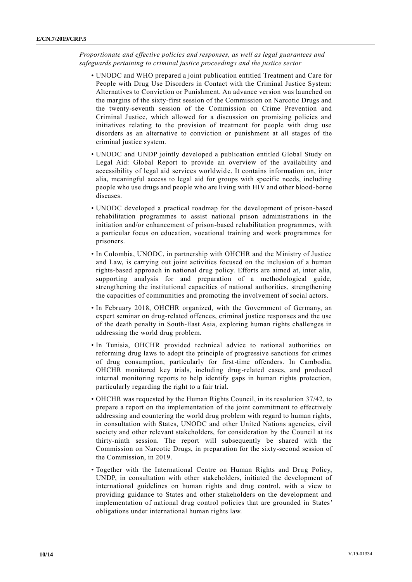*Proportionate and effective policies and responses, as well as legal guarantees and safeguards pertaining to criminal justice proceedings and the justice sector*

- UNODC and WHO prepared a joint publication entitled Treatment and Care for People with Drug Use Disorders in Contact with the Criminal Justice System: Alternatives to Conviction or Punishment. An advance version was launched on the margins of the sixty-first session of the Commission on Narcotic Drugs and the twenty-seventh session of the Commission on Crime Prevention and Criminal Justice, which allowed for a discussion on promising policies and initiatives relating to the provision of treatment for people with drug use disorders as an alternative to conviction or punishment at all stages of the criminal justice system.
- UNODC and UNDP jointly developed a publication entitled Global Study on Legal Aid: Global Report to provide an overview of the availability and accessibility of legal aid services worldwide. It contains information on, inter alia, meaningful access to legal aid for groups with specific needs, including people who use drugs and people who are living with HIV and other blood-borne diseases.
- UNODC developed a practical roadmap for the development of prison-based rehabilitation programmes to assist national prison administrations in the initiation and/or enhancement of prison-based rehabilitation programmes, with a particular focus on education, vocational training and work programmes for prisoners.
- In Colombia, UNODC, in partnership with OHCHR and the Ministry of Justice and Law, is carrying out joint activities focused on the inclusion of a human rights-based approach in national drug policy. Efforts are aimed at, inter alia, supporting analysis for and preparation of a methodological guide, strengthening the institutional capacities of national authorities, strengthening the capacities of communities and promoting the involvement of social actors.
- In February 2018, OHCHR organized, with the Government of Germany, an expert seminar on drug-related offences, criminal justice responses and the use of the death penalty in South-East Asia, exploring human rights challenges in addressing the world drug problem.
- In Tunisia, OHCHR provided technical advice to national authorities on reforming drug laws to adopt the principle of progressive sanctions for crimes of drug consumption, particularly for first-time offenders. In Cambodia, OHCHR monitored key trials, including drug-related cases, and produced internal monitoring reports to help identify gaps in human rights protection, particularly regarding the right to a fair trial.
- OHCHR was requested by the Human Rights Council, in its resolution 37/42, to prepare a report on the implementation of the joint commitment to effectively addressing and countering the world drug problem with regard to human rights, in consultation with States, UNODC and other United Nations agencies, civil society and other relevant stakeholders, for consideration by the Council at its thirty-ninth session. The report will subsequently be shared with the Commission on Narcotic Drugs, in preparation for the sixty-second session of the Commission, in 2019.
- Together with the International Centre on Human Rights and Drug Policy, UNDP, in consultation with other stakeholders, initiated the development of international guidelines on human rights and drug control, with a view to providing guidance to States and other stakeholders on the development and implementation of national drug control policies that are grounded in States' obligations under international human rights law.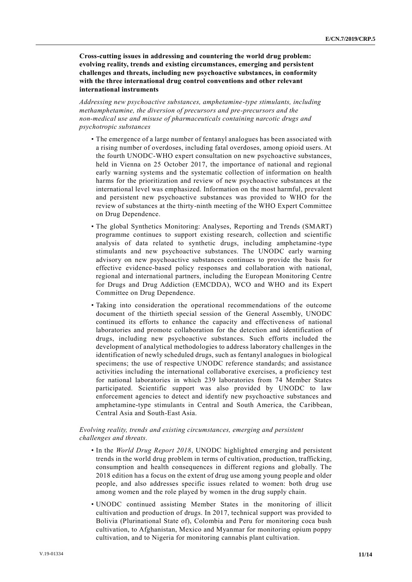**Cross-cutting issues in addressing and countering the world drug problem: evolving reality, trends and existing circumstances, emerging and persistent challenges and threats, including new psychoactive substances, in conformity with the three international drug control conventions and other relevant international instruments**

*Addressing new psychoactive substances, amphetamine-type stimulants, including methamphetamine, the diversion of precursors and pre-precursors and the non-medical use and misuse of pharmaceuticals containing narcotic drugs and psychotropic substances*

- The emergence of a large number of fentanyl analogues has been associated with a rising number of overdoses, including fatal overdoses, among opioid users. At the fourth UNODC-WHO expert consultation on new psychoactive substances, held in Vienna on 25 October 2017, the importance of national and regional early warning systems and the systematic collection of information on health harms for the prioritization and review of new psychoactive substances at the international level was emphasized. Information on the most harmful, prevalent and persistent new psychoactive substances was provided to WHO for the review of substances at the thirty-ninth meeting of the WHO Expert Committee on Drug Dependence.
- The global Synthetics Monitoring: Analyses, Reporting and Trends (SMART) programme continues to support existing research, collection and scientific analysis of data related to synthetic drugs, including amphetamine -type stimulants and new psychoactive substances. The UNODC early warning advisory on new psychoactive substances continues to provide the basis for effective evidence-based policy responses and collaboration with national, regional and international partners, including the European Monitoring Centre for Drugs and Drug Addiction (EMCDDA), WCO and WHO and its Expert Committee on Drug Dependence.
- Taking into consideration the operational recommendations of the outcome document of the thirtieth special session of the General Assembly, UNODC continued its efforts to enhance the capacity and effectiveness of national laboratories and promote collaboration for the detection and identification of drugs, including new psychoactive substances. Such efforts included the development of analytical methodologies to address laboratory challenges in the identification of newly scheduled drugs, such as fentanyl analogues in biological specimens; the use of respective UNODC reference standards; and assistance activities including the international collaborative exercises, a proficiency test for national laboratories in which 239 laboratories from 74 Member States participated. Scientific support was also provided by UNODC to law enforcement agencies to detect and identify new psychoactive substances and amphetamine-type stimulants in Central and South America, the Caribbean, Central Asia and South-East Asia.

#### *Evolving reality, trends and existing circumstances, emerging and persistent challenges and threats.*

- In the *World Drug Report 2018*, UNODC highlighted emerging and persistent trends in the world drug problem in terms of cultivation, production, trafficking, consumption and health consequences in different regions and globally. The 2018 edition has a focus on the extent of drug use among young people and older people, and also addresses specific issues related to women: both drug use among women and the role played by women in the drug supply chain.
- UNODC continued assisting Member States in the monitoring of illicit cultivation and production of drugs. In 2017, technical support was provided to Bolivia (Plurinational State of), Colombia and Peru for monitoring coca bush cultivation, to Afghanistan, Mexico and Myanmar for monitoring opium poppy cultivation, and to Nigeria for monitoring cannabis plant cultivation.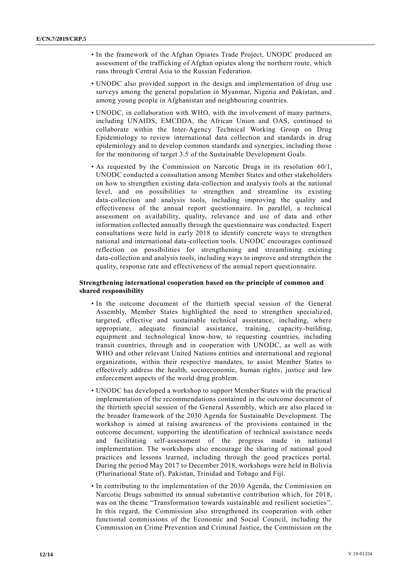- In the framework of the Afghan Opiates Trade Project, UNODC produced an assessment of the trafficking of Afghan opiates along the northern route, which runs through Central Asia to the Russian Federation.
- UNODC also provided support in the design and implementation of drug use surveys among the general population in Myanmar, Nigeria and Pakistan, and among young people in Afghanistan and neighbouring countries.
- UNODC, in collaboration with WHO, with the involvement of many partners, including UNAIDS, EMCDDA, the African Union and OAS, continued to collaborate within the Inter-Agency Technical Working Group on Drug Epidemiology to review international data collection and standards in drug epidemiology and to develop common standards and synergies, including those for the monitoring of target 3.5 of the Sustainable Development Goals.
- As requested by the Commission on Narcotic Drugs in its resolution 60/1, UNODC conducted a consultation among Member States and other stakeholders on how to strengthen existing data-collection and analysis tools at the national level, and on possibilities to strengthen and streamline its existing data-collection and analysis tools, including improving the quality and effectiveness of the annual report questionnaire. In parallel, a technical assessment on availability, quality, relevance and use of data and other information collected annually through the questionnaire was conducted. Expert consultations were held in early 2018 to identify concrete ways to strengthen national and international data-collection tools. UNODC encourages continued reflection on possibilities for strengthening and streamlining existing data-collection and analysis tools, including ways to improve and strengthen the quality, response rate and effectiveness of the annual report questionnaire.

#### **Strengthening international cooperation based on the principle of common and shared responsibility**

- In the outcome document of the thirtieth special session of the General Assembly, Member States highlighted the need to strengthen specializ ed, targeted, effective and sustainable technical assistance, including, where appropriate, adequate financial assistance, training, capacity-building, equipment and technological know-how, to requesting countries, including transit countries, through and in cooperation with UNODC, as well as with WHO and other relevant United Nations entities and international and regional organizations, within their respective mandates, to assist Member States to effectively address the health, socioeconomic, human rights, justice and law enforcement aspects of the world drug problem.
- UNODC has developed a workshop to support Member States with the practical implementation of the recommendations contained in the outcome document of the thirtieth special session of the General Assembly, which are also placed in the broader framework of the 2030 Agenda for Sustainable Development. The workshop is aimed at raising awareness of the provisions contained in the outcome document, supporting the identification of technical assistance needs and facilitating self-assessment of the progress made in national implementation. The workshops also encourage the sharing of national good practices and lessons learned, including through the good practices portal. During the period May 2017 to December 2018, workshops were held in Bolivia (Plurinational State of), Pakistan, Trinidad and Tobago and Fiji.
- In contributing to the implementation of the 2030 Agenda, the Commission on Narcotic Drugs submitted its annual substantive contribution which, for 2018, was on the theme "Transformation towards sustainable and resilient societies". In this regard, the Commission also strengthened its cooperation with other functional commissions of the Economic and Social Council, including the Commission on Crime Prevention and Criminal Justice, the Commission on the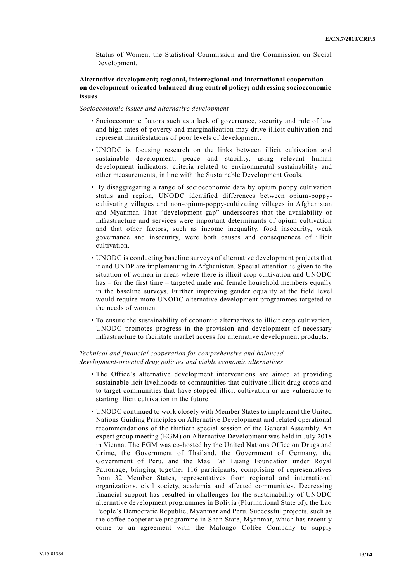Status of Women, the Statistical Commission and the Commission on Social Development.

#### **Alternative development; regional, interregional and international cooperation on development-oriented balanced drug control policy; addressing socioeconomic issues**

#### *Socioeconomic issues and alternative development*

- Socioeconomic factors such as a lack of governance, security and rule of law and high rates of poverty and marginalization may drive illicit cultivation and represent manifestations of poor levels of development.
- UNODC is focusing research on the links between illicit cultivation and sustainable development, peace and stability, using relevant human development indicators, criteria related to environmental sustainability and other measurements, in line with the Sustainable Development Goals.
- By disaggregating a range of socioeconomic data by opium poppy cultivation status and region, UNODC identified differences between opium-poppycultivating villages and non‐opium-poppy-cultivating villages in Afghanistan and Myanmar. That "development gap" underscores that the availability of infrastructure and services were important determinants of opium cultivation and that other factors, such as income inequality, food insecurity, weak governance and insecurity, were both causes and consequences of illicit cultivation.
- UNODC is conducting baseline surveys of alternative development projects that it and UNDP are implementing in Afghanistan. Special attention is given to the situation of women in areas where there is illicit crop cultivation and UNODC has – for the first time – targeted male and female household members equally in the baseline surveys. Further improving gender equality at the field level would require more UNODC alternative development programmes targeted to the needs of women.
- To ensure the sustainability of economic alternatives to illicit crop cultivation, UNODC promotes progress in the provision and development of necessary infrastructure to facilitate market access for alternative development products.

#### *Technical and financial cooperation for comprehensive and balanced development-oriented drug policies and viable economic alternatives*

- The Office's alternative development interventions are aimed at providing sustainable licit livelihoods to communities that cultivate illicit drug crops and to target communities that have stopped illicit cultivation or are vulnerable to starting illicit cultivation in the future.
- UNODC continued to work closely with Member States to implement the United Nations Guiding Principles on Alternative Development and related operational recommendations of the thirtieth special session of the General Assembly. An expert group meeting (EGM) on Alternative Development was held in July 2018 in Vienna. The EGM was co-hosted by the United Nations Office on Drugs and Crime, the Government of Thailand, the Government of Germany, the Government of Peru, and the Mae Fah Luang Foundation under Royal Patronage, bringing together 116 participants, comprising of representatives from 32 Member States, representatives from regional and international organizations, civil society, academia and affected communities. Decreasing financial support has resulted in challenges for the sustainability of UNODC alternative development programmes in Bolivia (Plurinational State of), the Lao People's Democratic Republic, Myanmar and Peru. Successful projects, such as the coffee cooperative programme in Shan State, Myanmar, which has recently come to an agreement with the Malongo Coffee Company to supply